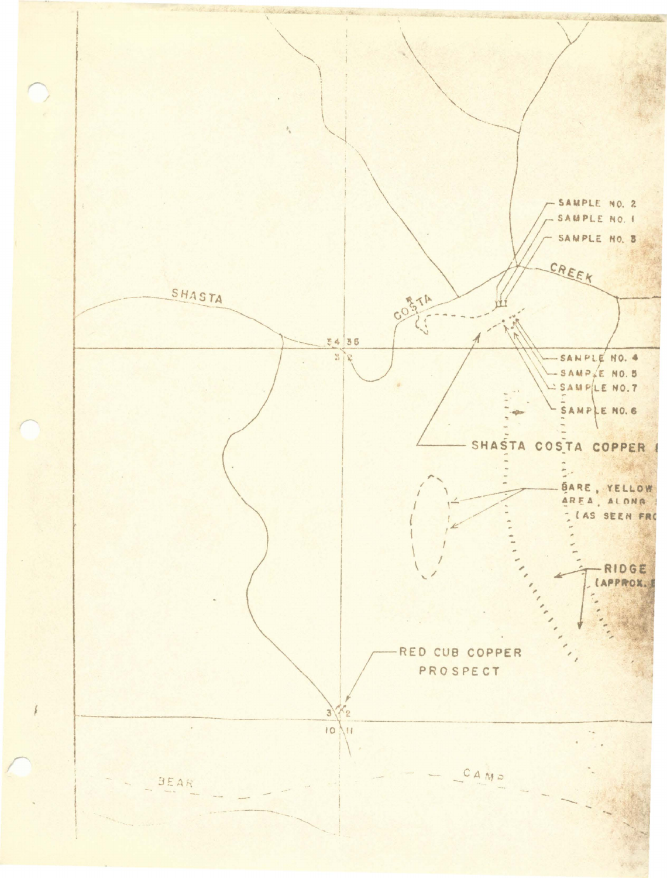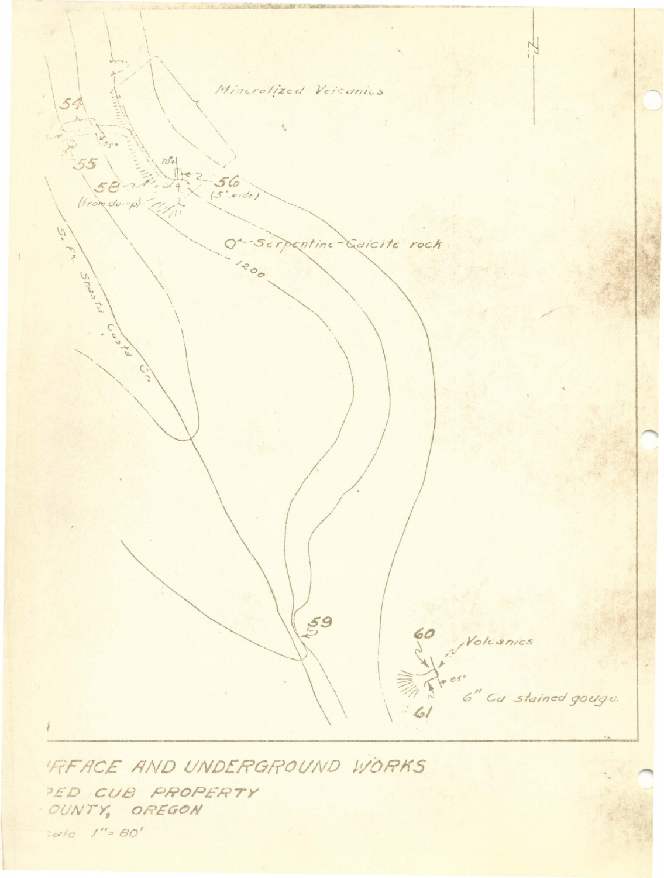

'REACE AND UNDERGROUND WORKS PED CUB PROPERTY OUNTY, OREGON

tale 1"= 80'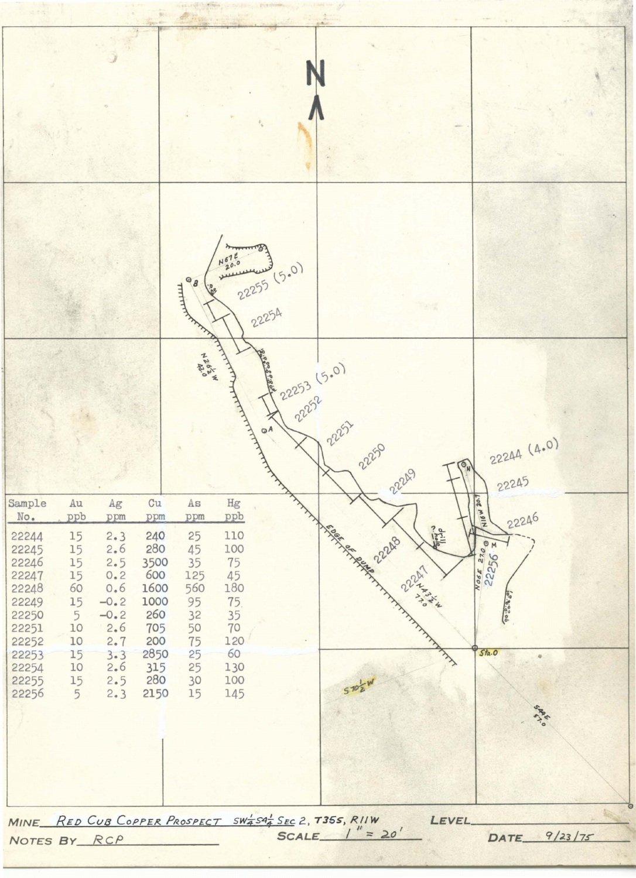